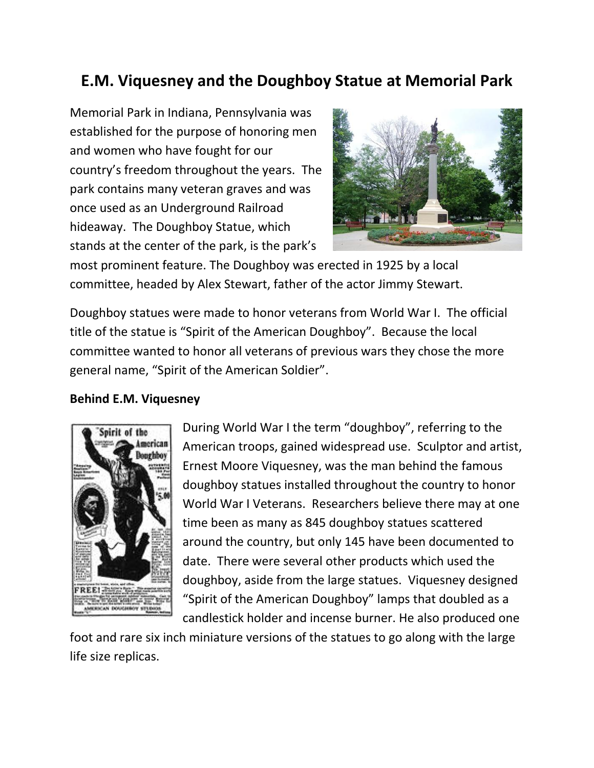## **E.M. Viquesney and the Doughboy Statue at Memorial Park**

Memorial Park in Indiana, Pennsylvania was established for the purpose of honoring men and women who have fought for our country's freedom throughout the years. The park contains many veteran graves and was once used as an Underground Railroad hideaway. The Doughboy Statue, which stands at the center of the park, is the park's



most prominent feature. The Doughboy was erected in 1925 by a local committee, headed by Alex Stewart, father of the actor Jimmy Stewart.

Doughboy statues were made to honor veterans from World War I. The official title of the statue is "Spirit of the American Doughboy". Because the local committee wanted to honor all veterans of previous wars they chose the more general name, "Spirit of the American Soldier".

## **Behind E.M. Viquesney**



During World War I the term "doughboy", referring to the American troops, gained widespread use. Sculptor and artist, Ernest Moore Viquesney, was the man behind the famous doughboy statues installed throughout the country to honor World War I Veterans. Researchers believe there may at one time been as many as 845 doughboy statues scattered around the country, but only 145 have been documented to date. There were several other products which used the doughboy, aside from the large statues. Viquesney designed "Spirit of the American Doughboy" lamps that doubled as a candlestick holder and incense burner. He also produced one

foot and rare six inch miniature versions of the statues to go along with the large life size replicas.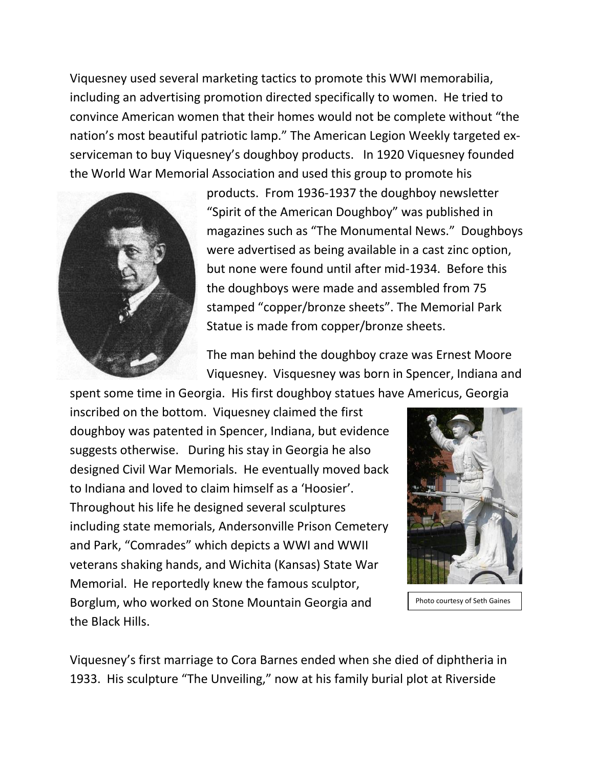Viquesney used several marketing tactics to promote this WWI memorabilia, including an advertising promotion directed specifically to women. He tried to convince American women that their homes would not be complete without "the nation's most beautiful patriotic lamp." The American Legion Weekly targeted exserviceman to buy Viquesney's doughboy products. In 1920 Viquesney founded the World War Memorial Association and used this group to promote his



products. From 1936-1937 the doughboy newsletter "Spirit of the American Doughboy" was published in magazines such as "The Monumental News." Doughboys were advertised as being available in a cast zinc option, but none were found until after mid-1934. Before this the doughboys were made and assembled from 75 stamped "copper/bronze sheets". The Memorial Park Statue is made from copper/bronze sheets.

The man behind the doughboy craze was Ernest Moore Viquesney. Visquesney was born in Spencer, Indiana and

spent some time in Georgia. His first doughboy statues have Americus, Georgia inscribed on the bottom. Viquesney claimed the first doughboy was patented in Spencer, Indiana, but evidence suggests otherwise. During his stay in Georgia he also designed Civil War Memorials. He eventually moved back to Indiana and loved to claim himself as a 'Hoosier'. Throughout his life he designed several sculptures including state memorials, Andersonville Prison Cemetery and Park, "Comrades" which depicts a WWI and WWII veterans shaking hands, and Wichita (Kansas) State War Memorial. He reportedly knew the famous sculptor, Borglum, who worked on Stone Mountain Georgia and the Black Hills.



Photo courtesy of Seth Gaines

Viquesney's first marriage to Cora Barnes ended when she died of diphtheria in 1933. His sculpture "The Unveiling," now at his family burial plot at Riverside